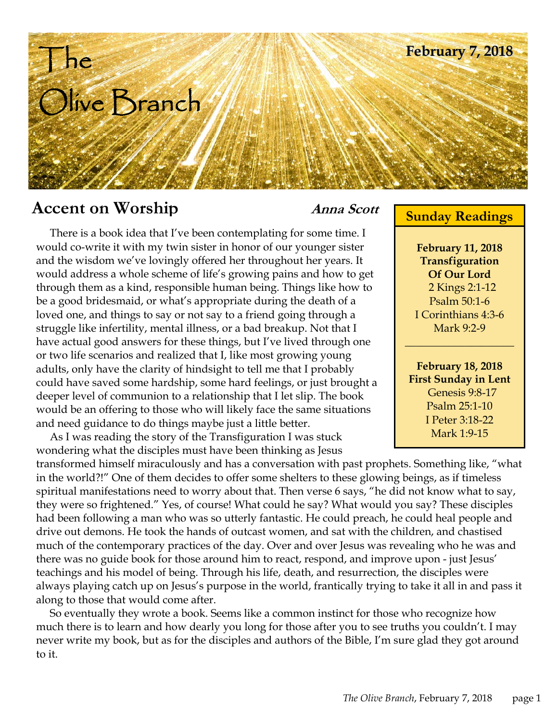# | he Olive Branch **February 7, 2018**

## **Accent on Worship** *Anna Scott* **<b>Sunday Readings**

 There is a book idea that I've been contemplating for some time. I would co-write it with my twin sister in honor of our younger sister and the wisdom we've lovingly offered her throughout her years. It would address a whole scheme of life's growing pains and how to get through them as a kind, responsible human being. Things like how to be a good bridesmaid, or what's appropriate during the death of a loved one, and things to say or not say to a friend going through a struggle like infertility, mental illness, or a bad breakup. Not that I have actual good answers for these things, but I've lived through one or two life scenarios and realized that I, like most growing young adults, only have the clarity of hindsight to tell me that I probably could have saved some hardship, some hard feelings, or just brought a deeper level of communion to a relationship that I let slip. The book would be an offering to those who will likely face the same situations and need guidance to do things maybe just a little better.

 As I was reading the story of the Transfiguration I was stuck wondering what the disciples must have been thinking as Jesus

transformed himself miraculously and has a conversation with past prophets. Something like, "what in the world?!" One of them decides to offer some shelters to these glowing beings, as if timeless spiritual manifestations need to worry about that. Then verse 6 says, "he did not know what to say, they were so frightened." Yes, of course! What could he say? What would you say? These disciples had been following a man who was so utterly fantastic. He could preach, he could heal people and drive out demons. He took the hands of outcast women, and sat with the children, and chastised much of the contemporary practices of the day. Over and over Jesus was revealing who he was and there was no guide book for those around him to react, respond, and improve upon - just Jesus' teachings and his model of being. Through his life, death, and resurrection, the disciples were always playing catch up on Jesus's purpose in the world, frantically trying to take it all in and pass it along to those that would come after.

 So eventually they wrote a book. Seems like a common instinct for those who recognize how much there is to learn and how dearly you long for those after you to see truths you couldn't. I may never write my book, but as for the disciples and authors of the Bible, I'm sure glad they got around to it.

**February 11, 2018 Transfiguration Of Our Lord**  2 Kings 2:1-12 Psalm 50:1-6 I Corinthians 4:3-6 Mark 9:2-9

 $\mathcal{L}_\text{max}$  , where  $\mathcal{L}_\text{max}$ 

**February 18, 2018 First Sunday in Lent**  Genesis 9:8-17 Psalm 25:1-10 I Peter 3:18-22 Mark 1:9-15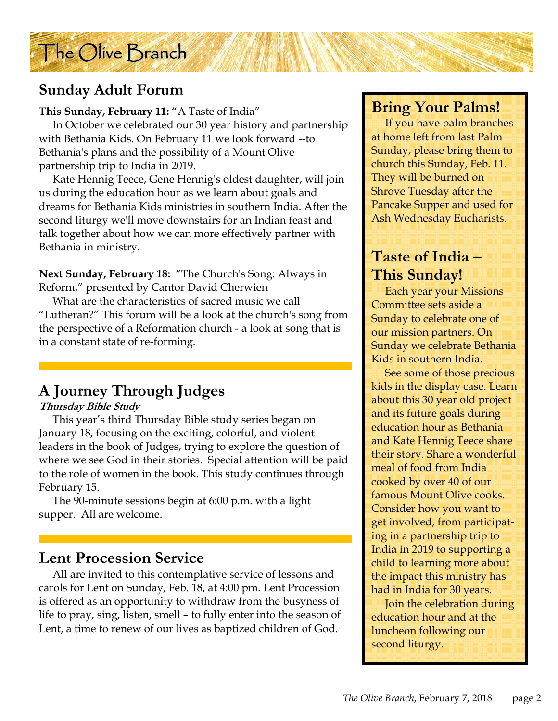

#### **Sunday Adult Forum**

#### **This Sunday, February 11:** "A Taste of India"

 In October we celebrated our 30 year history and partnership with Bethania Kids. On February 11 we look forward --to Bethania's plans and the possibility of a Mount Olive partnership trip to India in 2019.

 Kate Hennig Teece, Gene Hennig's oldest daughter, will join us during the education hour as we learn about goals and dreams for Bethania Kids ministries in southern India. After the second liturgy we'll move downstairs for an Indian feast and talk together about how we can more effectively partner with Bethania in ministry.

**Next Sunday, February 18:** "The Church's Song: Always in Reform," presented by Cantor David Cherwien

 What are the characteristics of sacred music we call "Lutheran?" This forum will be a look at the church's song from the perspective of a Reformation church - a look at song that is in a constant state of re-forming.

#### **A Journey Through Judges**

#### **Thursday Bible Study**

 This year's third Thursday Bible study series began on January 18, focusing on the exciting, colorful, and violent leaders in the book of Judges, trying to explore the question of where we see God in their stories. Special attention will be paid to the role of women in the book. This study continues through February 15.

 The 90-minute sessions begin at 6:00 p.m. with a light supper. All are welcome.

#### **Lent Procession Service**

 All are invited to this contemplative service of lessons and carols for Lent on Sunday, Feb. 18, at 4:00 pm. Lent Procession is offered as an opportunity to withdraw from the busyness of life to pray, sing, listen, smell – to fully enter into the season of Lent, a time to renew of our lives as baptized children of God.

#### **Bring Your Palms!**

 If you have palm branches at home left from last Palm Sunday, please bring them to church this Sunday, Feb. 11. They will be burned on Shrove Tuesday after the Pancake Supper and used for Ash Wednesday Eucharists.

\_\_\_\_\_\_\_\_\_\_\_\_\_\_\_\_\_\_\_\_\_\_\_\_\_

#### **Taste of India – This Sunday!**

 Each year your Missions Committee sets aside a Sunday to celebrate one of our mission partners. On Sunday we celebrate Bethania Kids in southern India.

 See some of those precious kids in the display case. Learn about this 30 year old project and its future goals during education hour as Bethania and Kate Hennig Teece share their story. Share a wonderful meal of food from India cooked by over 40 of our famous Mount Olive cooks. Consider how you want to get involved, from participating in a partnership trip to India in 2019 to supporting a child to learning more about the impact this ministry has had in India for 30 years.

 Join the celebration during education hour and at the luncheon following our second liturgy.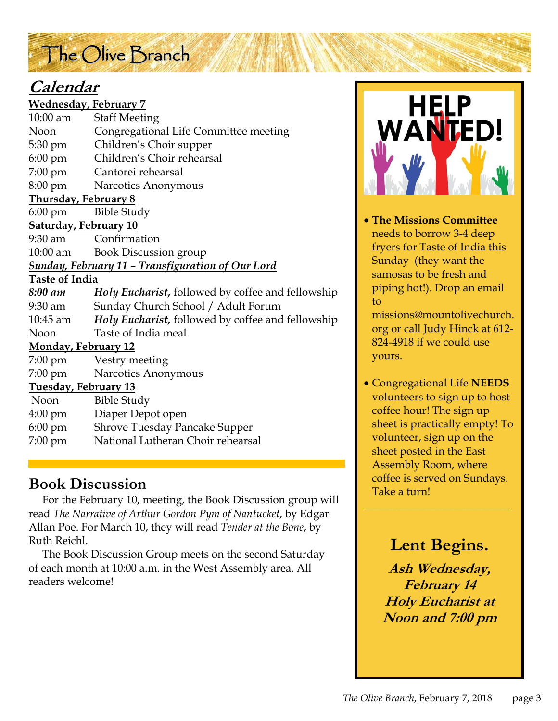# The Olive Branch

#### **Calendar**

| <b>Wednesday, February 7</b>                                    |                                                   |
|-----------------------------------------------------------------|---------------------------------------------------|
| $10:00$ am                                                      | <b>Staff Meeting</b>                              |
| Noon                                                            | Congregational Life Committee meeting             |
| 5:30 pm                                                         | Children's Choir supper                           |
|                                                                 | 6:00 pm Children's Choir rehearsal                |
|                                                                 | 7:00 pm Cantorei rehearsal                        |
|                                                                 | 8:00 pm Narcotics Anonymous                       |
| <b>Thursday, February 8</b>                                     |                                                   |
| 6:00 pm Bible Study                                             |                                                   |
| <b>Saturday, February 10</b>                                    |                                                   |
| 9:30 am                                                         | Confirmation                                      |
| $10:00$ am                                                      | <b>Book Discussion group</b>                      |
| <u><b>Sunday, February 11 - Transfiguration of Our Lord</b></u> |                                                   |
| <b>Taste of India</b>                                           |                                                   |
| 8:00 am                                                         | Holy Eucharist, followed by coffee and fellowship |
| 9:30 am                                                         | Sunday Church School / Adult Forum                |
| 10:45 am                                                        | Holy Eucharist, followed by coffee and fellowship |
| <b>Noon</b>                                                     | Taste of India meal                               |
| <b>Monday, February 12</b>                                      |                                                   |
| $7:00 \text{ pm}$                                               | Vestry meeting                                    |
| $7:00 \text{ pm}$                                               | Narcotics Anonymous                               |
| Tuesday, February 13                                            |                                                   |
| Noon                                                            | <b>Bible Study</b>                                |
| $4:00 \text{ pm}$                                               | Diaper Depot open                                 |
| $6:00 \text{ pm}$                                               | <b>Shrove Tuesday Pancake Supper</b>              |
| 7:00 pm                                                         | National Lutheran Choir rehearsal                 |

#### **Book Discussion**

 For the February 10, meeting, the Book Discussion group will read *The Narrative of Arthur Gordon Pym of Nantucket*, by Edgar Allan Poe. For March 10, they will read *Tender at the Bone*, by Ruth Reichl.

 The Book Discussion Group meets on the second Saturday of each month at 10:00 a.m. in the West Assembly area. All readers welcome!



• **The Missions Committee** needs to borrow 3-4 deep fryers for Taste of India this Sunday (they want the samosas to be fresh and piping hot!). Drop an email to

missions@mountolivechurch. org or call Judy Hinck at 612- 824-4918 if we could use yours.

• Congregational Life **NEEDS**  volunteers to sign up to host coffee hour! The sign up sheet is practically empty! To volunteer, sign up on the sheet posted in the East Assembly Room, where coffee is served on Sundays. Take a turn! \_\_\_\_\_\_\_\_\_\_\_\_\_\_\_\_\_\_\_\_\_\_\_\_\_\_\_

### **Lent Begins.**

**Ash Wednesday, February 14 Holy Eucharist at Noon and 7:00 pm**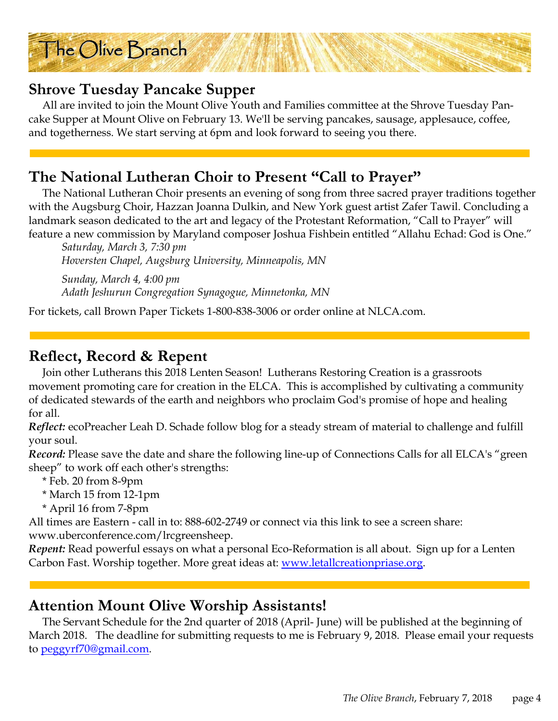

#### **Shrove Tuesday Pancake Supper**

 All are invited to join the Mount Olive Youth and Families committee at the Shrove Tuesday Pancake Supper at Mount Olive on February 13. We'll be serving pancakes, sausage, applesauce, coffee, and togetherness. We start serving at 6pm and look forward to seeing you there.

#### **The National Lutheran Choir to Present "Call to Prayer"**

 The National Lutheran Choir presents an evening of song from three sacred prayer traditions together with the Augsburg Choir, Hazzan Joanna Dulkin, and New York guest artist Zafer Tawil. Concluding a landmark season dedicated to the art and legacy of the Protestant Reformation, "Call to Prayer" will feature a new commission by Maryland composer Joshua Fishbein entitled "Allahu Echad: God is One."

*Saturday, March 3, 7:30 pm Hoversten Chapel, Augsburg University, Minneapolis, MN* 

*Sunday, March 4, 4:00 pm Adath Jeshurun Congregation Synagogue, Minnetonka, MN* 

For tickets, call Brown Paper Tickets 1-800-838-3006 or order online at NLCA.com.

#### **Reflect, Record & Repent**

 Join other Lutherans this 2018 Lenten Season! Lutherans Restoring Creation is a grassroots movement promoting care for creation in the ELCA. This is accomplished by cultivating a community of dedicated stewards of the earth and neighbors who proclaim God's promise of hope and healing for all.

*Reflect:* ecoPreacher Leah D. Schade follow blog for a steady stream of material to challenge and fulfill your soul.

*Record:* Please save the date and share the following line-up of Connections Calls for all ELCA's "green sheep" to work off each other's strengths:

\* Feb. 20 from 8-9pm

- \* March 15 from 12-1pm
- \* April 16 from 7-8pm

All times are Eastern - call in to: 888-602-2749 or connect via this link to see a screen share: www.uberconference.com/lrcgreensheep.

*Repent:* Read powerful essays on what a personal Eco-Reformation is all about. Sign up for a Lenten Carbon Fast. Worship together. More great ideas at: www.letallcreationpriase.org.

#### **Attention Mount Olive Worship Assistants!**

 The Servant Schedule for the 2nd quarter of 2018 (April- June) will be published at the beginning of March 2018. The deadline for submitting requests to me is February 9, 2018. Please email your requests to peggyrf70@gmail.com.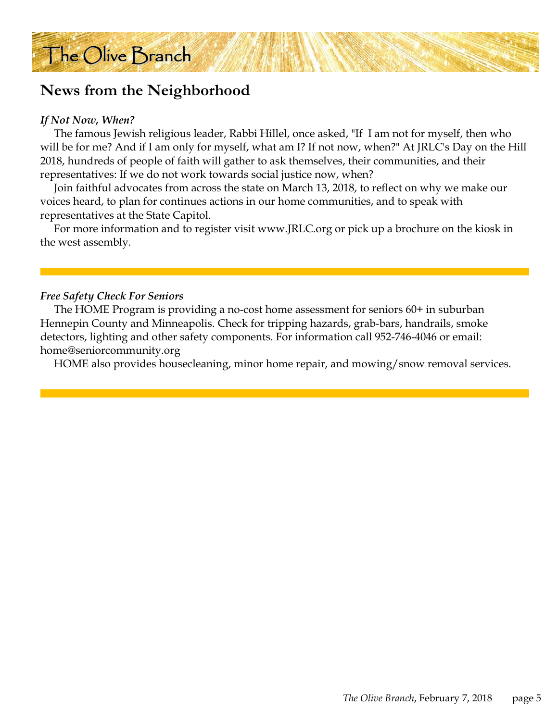#### **News from the Neighborhood**

#### *If Not Now, When?*

 The famous Jewish religious leader, Rabbi Hillel, once asked, "If I am not for myself, then who will be for me? And if I am only for myself, what am I? If not now, when?" At JRLC's Day on the Hill 2018, hundreds of people of faith will gather to ask themselves, their communities, and their representatives: If we do not work towards social justice now, when?

 Join faithful advocates from across the state on March 13, 2018, to reflect on why we make our voices heard, to plan for continues actions in our home communities, and to speak with representatives at the State Capitol.

 For more information and to register visit www.JRLC.org or pick up a brochure on the kiosk in the west assembly.

#### *Free Safety Check For Seniors*

 The HOME Program is providing a no-cost home assessment for seniors 60+ in suburban Hennepin County and Minneapolis. Check for tripping hazards, grab-bars, handrails, smoke detectors, lighting and other safety components. For information call 952-746-4046 or email: home@seniorcommunity.org

HOME also provides housecleaning, minor home repair, and mowing/snow removal services.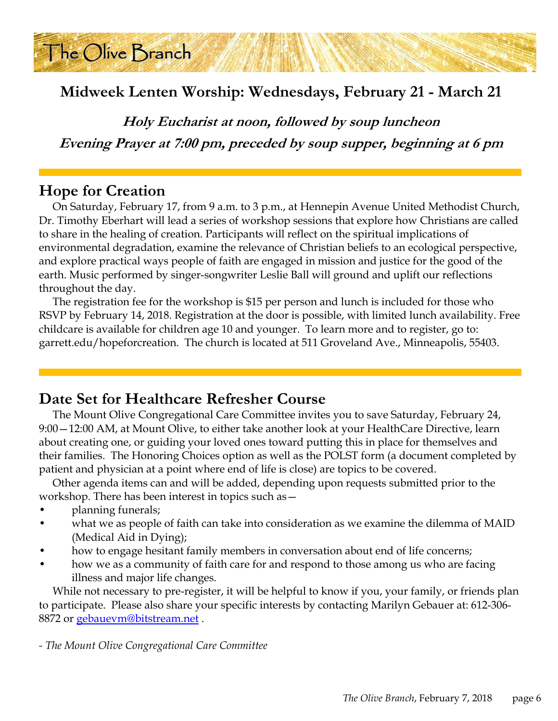

**Holy Eucharist at noon, followed by soup luncheon Evening Prayer at 7:00 pm, preceded by soup supper, beginning at 6 pm**

#### **Hope for Creation**

The Olive Branch

 On Saturday, February 17, from 9 a.m. to 3 p.m., at Hennepin Avenue United Methodist Church, Dr. Timothy Eberhart will lead a series of workshop sessions that explore how Christians are called to share in the healing of creation. Participants will reflect on the spiritual implications of environmental degradation, examine the relevance of Christian beliefs to an ecological perspective, and explore practical ways people of faith are engaged in mission and justice for the good of the earth. Music performed by singer-songwriter Leslie Ball will ground and uplift our reflections throughout the day.

 The registration fee for the workshop is \$15 per person and lunch is included for those who RSVP by February 14, 2018. Registration at the door is possible, with limited lunch availability. Free childcare is available for children age 10 and younger. To learn more and to register, go to: garrett.edu/hopeforcreation. The church is located at 511 Groveland Ave., Minneapolis, 55403.

#### **Date Set for Healthcare Refresher Course**

 The Mount Olive Congregational Care Committee invites you to save Saturday, February 24, 9:00—12:00 AM, at Mount Olive, to either take another look at your HealthCare Directive, learn about creating one, or guiding your loved ones toward putting this in place for themselves and their families. The Honoring Choices option as well as the POLST form (a document completed by patient and physician at a point where end of life is close) are topics to be covered.

 Other agenda items can and will be added, depending upon requests submitted prior to the workshop. There has been interest in topics such as—

- planning funerals;
- what we as people of faith can take into consideration as we examine the dilemma of MAID (Medical Aid in Dying);
- how to engage hesitant family members in conversation about end of life concerns;
- how we as a community of faith care for and respond to those among us who are facing illness and major life changes.

 While not necessary to pre-register, it will be helpful to know if you, your family, or friends plan to participate. Please also share your specific interests by contacting Marilyn Gebauer at: 612-306- 8872 or gebauevm@bitstream.net.

*- The Mount Olive Congregational Care Committee*